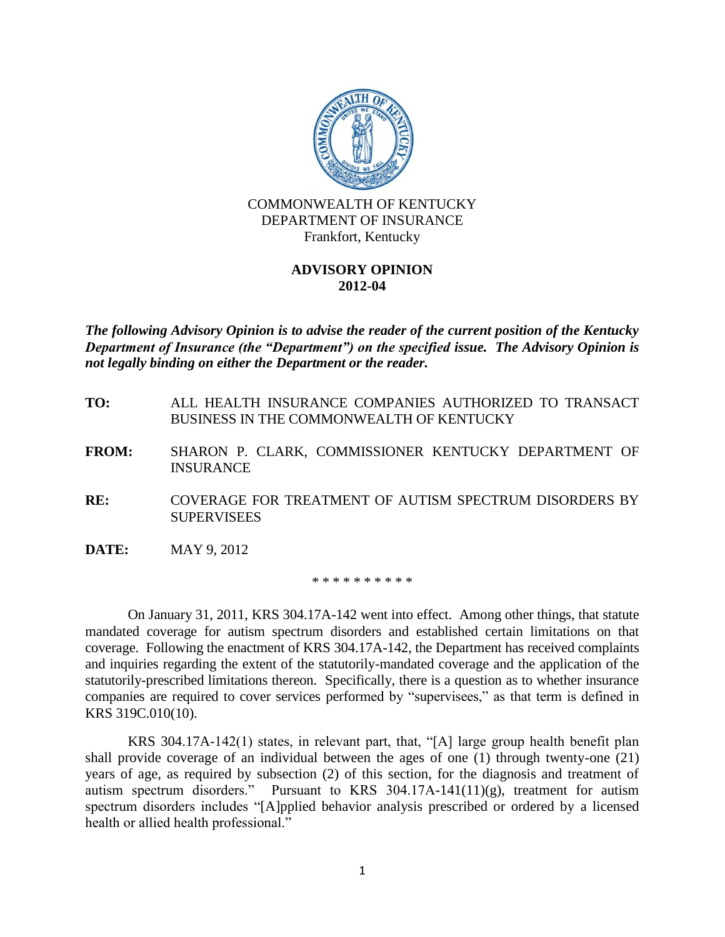

## **ADVISORY OPINION 2012-04**

*The following Advisory Opinion is to advise the reader of the current position of the Kentucky Department of Insurance (the "Department") on the specified issue. The Advisory Opinion is not legally binding on either the Department or the reader.*

- **TO:** ALL HEALTH INSURANCE COMPANIES AUTHORIZED TO TRANSACT BUSINESS IN THE COMMONWEALTH OF KENTUCKY
- **FROM:** SHARON P. CLARK, COMMISSIONER KENTUCKY DEPARTMENT OF INSURANCE
- **RE:** COVERAGE FOR TREATMENT OF AUTISM SPECTRUM DISORDERS BY **SUPERVISEES**
- **DATE:** MAY 9, 2012

\* \* \* \* \* \* \* \* \* \*

On January 31, 2011, KRS 304.17A-142 went into effect. Among other things, that statute mandated coverage for autism spectrum disorders and established certain limitations on that coverage. Following the enactment of KRS 304.17A-142, the Department has received complaints and inquiries regarding the extent of the statutorily-mandated coverage and the application of the statutorily-prescribed limitations thereon. Specifically, there is a question as to whether insurance companies are required to cover services performed by "supervisees," as that term is defined in KRS 319C.010(10).

KRS 304.17A-142(1) states, in relevant part, that, "[A] large group health benefit plan shall provide coverage of an individual between the ages of one (1) through twenty-one (21) years of age, as required by subsection (2) of this section, for the diagnosis and treatment of autism spectrum disorders." Pursuant to KRS  $304.17A-141(11)(g)$ , treatment for autism spectrum disorders includes "[A]pplied behavior analysis prescribed or ordered by a licensed health or allied health professional."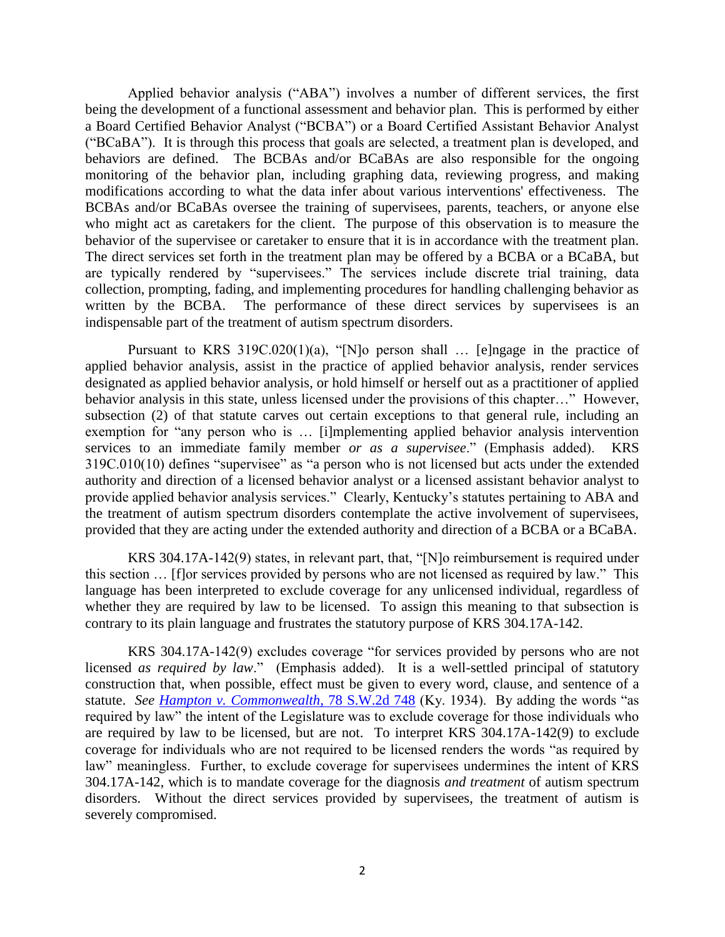Applied behavior analysis ("ABA") involves a number of different services, the first being the development of a functional assessment and behavior plan. This is performed by either a Board Certified Behavior Analyst ("BCBA") or a Board Certified Assistant Behavior Analyst ("BCaBA"). It is through this process that goals are selected, a treatment plan is developed, and behaviors are defined. The BCBAs and/or BCaBAs are also responsible for the ongoing monitoring of the behavior plan, including graphing data, reviewing progress, and making modifications according to what the data infer about various interventions' effectiveness. The BCBAs and/or BCaBAs oversee the training of supervisees, parents, teachers, or anyone else who might act as caretakers for the client. The purpose of this observation is to measure the behavior of the supervisee or caretaker to ensure that it is in accordance with the treatment plan. The direct services set forth in the treatment plan may be offered by a BCBA or a BCaBA, but are typically rendered by "supervisees." The services include discrete trial training, data collection, prompting, fading, and implementing procedures for handling challenging behavior as written by the BCBA. The performance of these direct services by supervisees is an indispensable part of the treatment of autism spectrum disorders.

Pursuant to KRS 319C.020(1)(a), "[N]o person shall ... [e]ngage in the practice of applied behavior analysis, assist in the practice of applied behavior analysis, render services designated as applied behavior analysis, or hold himself or herself out as a practitioner of applied behavior analysis in this state, unless licensed under the provisions of this chapter…" However, subsection (2) of that statute carves out certain exceptions to that general rule, including an exemption for "any person who is ... [i]mplementing applied behavior analysis intervention services to an immediate family member *or as a supervisee*." (Emphasis added). KRS 319C.010(10) defines "supervisee" as "a person who is not licensed but acts under the extended authority and direction of a licensed behavior analyst or a licensed assistant behavior analyst to provide applied behavior analysis services." Clearly, Kentucky's statutes pertaining to ABA and the treatment of autism spectrum disorders contemplate the active involvement of supervisees, provided that they are acting under the extended authority and direction of a BCBA or a BCaBA.

KRS 304.17A-142(9) states, in relevant part, that, "[N]o reimbursement is required under this section … [f]or services provided by persons who are not licensed as required by law." This language has been interpreted to exclude coverage for any unlicensed individual, regardless of whether they are required by law to be licensed. To assign this meaning to that subsection is contrary to its plain language and frustrates the statutory purpose of KRS 304.17A-142.

KRS 304.17A-142(9) excludes coverage "for services provided by persons who are not licensed *as required by law*." (Emphasis added). It is a well-settled principal of statutory construction that, when possible, effect must be given to every word, clause, and sentence of a statute. *See [Hampton v. Commonwealth](http://web2.westlaw.com/find/default.wl?rs=WLW12.04&pbc=C65D60EC&vr=2.0&findtype=Y&rp=%2ffind%2fdefault.wl&sv=Split&fn=_top&tf=-1&ordoc=361K206&mt=Westlaw&serialnum=1935118709&tc=-1)*, 78 S.W.2d 748 (Ky. 1934). By adding the words "as required by law" the intent of the Legislature was to exclude coverage for those individuals who are required by law to be licensed, but are not. To interpret KRS 304.17A-142(9) to exclude coverage for individuals who are not required to be licensed renders the words "as required by law" meaningless. Further, to exclude coverage for supervisees undermines the intent of KRS 304.17A-142, which is to mandate coverage for the diagnosis *and treatment* of autism spectrum disorders. Without the direct services provided by supervisees, the treatment of autism is severely compromised.